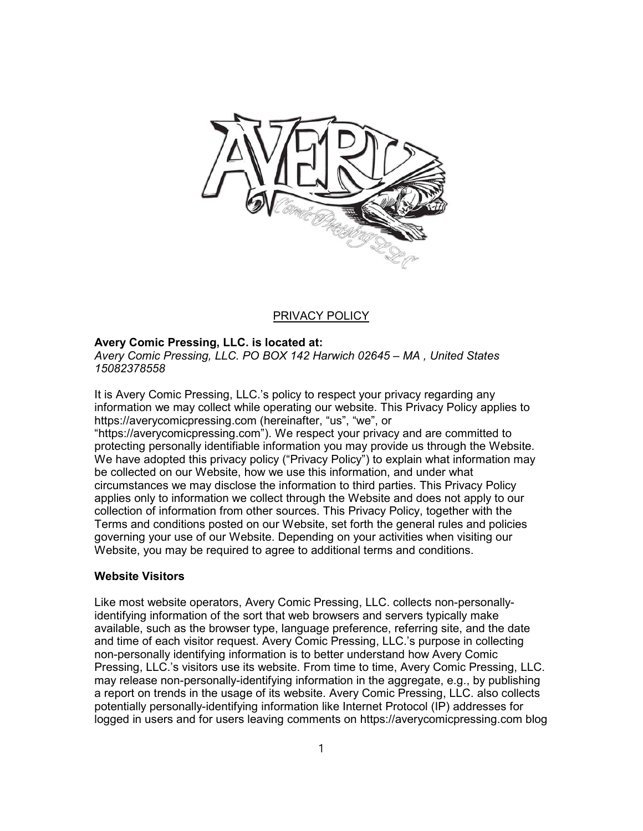

# PRIVACY POLICY

# Avery Comic Pressing, LLC. is located at:

Avery Comic Pressing, LLC. PO BOX 142 Harwich 02645 – MA , United States 15082378558

It is Avery Comic Pressing, LLC.'s policy to respect your privacy regarding any information we may collect while operating our website. This Privacy Policy applies to https://averycomicpressing.com (hereinafter, "us", "we", or "https://averycomicpressing.com"). We respect your privacy and are committed to protecting personally identifiable information you may provide us through the Website. We have adopted this privacy policy ("Privacy Policy") to explain what information may be collected on our Website, how we use this information, and under what circumstances we may disclose the information to third parties. This Privacy Policy applies only to information we collect through the Website and does not apply to our

collection of information from other sources. This Privacy Policy, together with the Terms and conditions posted on our Website, set forth the general rules and policies governing your use of our Website. Depending on your activities when visiting our Website, you may be required to agree to additional terms and conditions.

# Website Visitors

Like most website operators, Avery Comic Pressing, LLC. collects non-personallyidentifying information of the sort that web browsers and servers typically make available, such as the browser type, language preference, referring site, and the date and time of each visitor request. Avery Comic Pressing, LLC.'s purpose in collecting non-personally identifying information is to better understand how Avery Comic Pressing, LLC.'s visitors use its website. From time to time, Avery Comic Pressing, LLC. may release non-personally-identifying information in the aggregate, e.g., by publishing a report on trends in the usage of its website. Avery Comic Pressing, LLC. also collects potentially personally-identifying information like Internet Protocol (IP) addresses for logged in users and for users leaving comments on https://averycomicpressing.com blog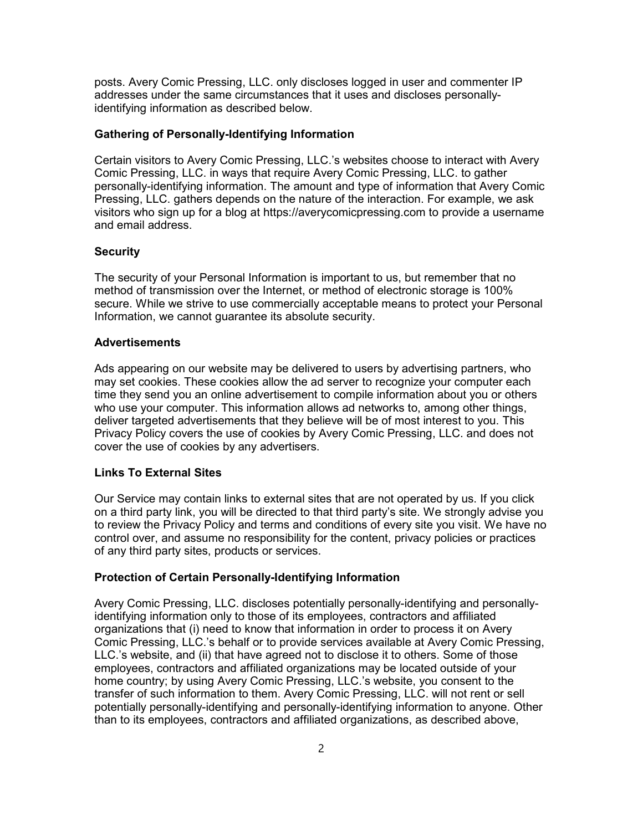posts. Avery Comic Pressing, LLC. only discloses logged in user and commenter IP addresses under the same circumstances that it uses and discloses personallyidentifying information as described below.

## Gathering of Personally-Identifying Information

Certain visitors to Avery Comic Pressing, LLC.'s websites choose to interact with Avery Comic Pressing, LLC. in ways that require Avery Comic Pressing, LLC. to gather personally-identifying information. The amount and type of information that Avery Comic Pressing, LLC. gathers depends on the nature of the interaction. For example, we ask visitors who sign up for a blog at https://averycomicpressing.com to provide a username and email address.

#### **Security**

The security of your Personal Information is important to us, but remember that no method of transmission over the Internet, or method of electronic storage is 100% secure. While we strive to use commercially acceptable means to protect your Personal Information, we cannot guarantee its absolute security.

## Advertisements

Ads appearing on our website may be delivered to users by advertising partners, who may set cookies. These cookies allow the ad server to recognize your computer each time they send you an online advertisement to compile information about you or others who use your computer. This information allows ad networks to, among other things, deliver targeted advertisements that they believe will be of most interest to you. This Privacy Policy covers the use of cookies by Avery Comic Pressing, LLC. and does not cover the use of cookies by any advertisers.

## Links To External Sites

Our Service may contain links to external sites that are not operated by us. If you click on a third party link, you will be directed to that third party's site. We strongly advise you to review the Privacy Policy and terms and conditions of every site you visit. We have no control over, and assume no responsibility for the content, privacy policies or practices of any third party sites, products or services.

#### Protection of Certain Personally-Identifying Information

Avery Comic Pressing, LLC. discloses potentially personally-identifying and personallyidentifying information only to those of its employees, contractors and affiliated organizations that (i) need to know that information in order to process it on Avery Comic Pressing, LLC.'s behalf or to provide services available at Avery Comic Pressing, LLC.'s website, and (ii) that have agreed not to disclose it to others. Some of those employees, contractors and affiliated organizations may be located outside of your home country; by using Avery Comic Pressing, LLC.'s website, you consent to the transfer of such information to them. Avery Comic Pressing, LLC. will not rent or sell potentially personally-identifying and personally-identifying information to anyone. Other than to its employees, contractors and affiliated organizations, as described above,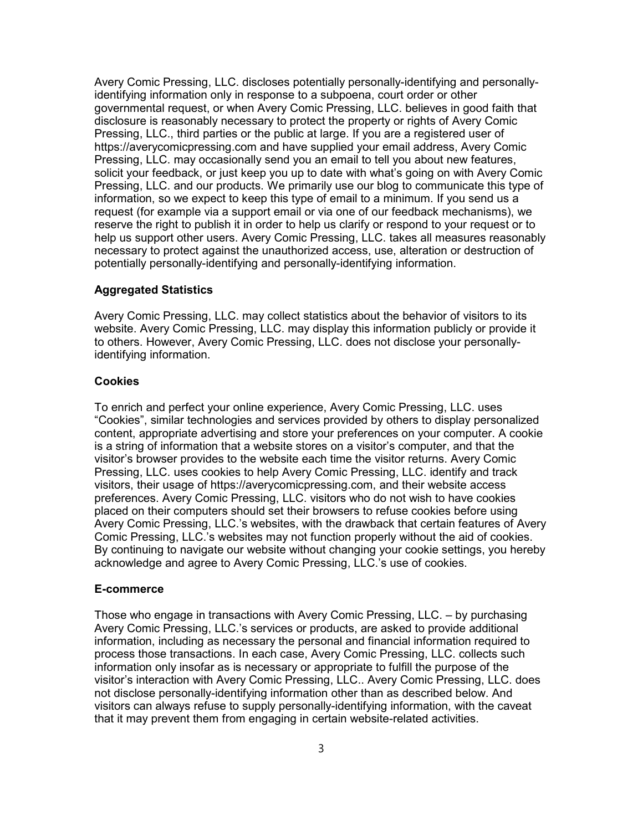Avery Comic Pressing, LLC. discloses potentially personally-identifying and personallyidentifying information only in response to a subpoena, court order or other governmental request, or when Avery Comic Pressing, LLC. believes in good faith that disclosure is reasonably necessary to protect the property or rights of Avery Comic Pressing, LLC., third parties or the public at large. If you are a registered user of https://averycomicpressing.com and have supplied your email address, Avery Comic Pressing, LLC. may occasionally send you an email to tell you about new features, solicit your feedback, or just keep you up to date with what's going on with Avery Comic Pressing, LLC. and our products. We primarily use our blog to communicate this type of information, so we expect to keep this type of email to a minimum. If you send us a request (for example via a support email or via one of our feedback mechanisms), we reserve the right to publish it in order to help us clarify or respond to your request or to help us support other users. Avery Comic Pressing, LLC. takes all measures reasonably necessary to protect against the unauthorized access, use, alteration or destruction of potentially personally-identifying and personally-identifying information.

## Aggregated Statistics

Avery Comic Pressing, LLC. may collect statistics about the behavior of visitors to its website. Avery Comic Pressing, LLC. may display this information publicly or provide it to others. However, Avery Comic Pressing, LLC. does not disclose your personallyidentifying information.

## **Cookies**

To enrich and perfect your online experience, Avery Comic Pressing, LLC. uses "Cookies", similar technologies and services provided by others to display personalized content, appropriate advertising and store your preferences on your computer. A cookie is a string of information that a website stores on a visitor's computer, and that the visitor's browser provides to the website each time the visitor returns. Avery Comic Pressing, LLC. uses cookies to help Avery Comic Pressing, LLC. identify and track visitors, their usage of https://averycomicpressing.com, and their website access preferences. Avery Comic Pressing, LLC. visitors who do not wish to have cookies placed on their computers should set their browsers to refuse cookies before using Avery Comic Pressing, LLC.'s websites, with the drawback that certain features of Avery Comic Pressing, LLC.'s websites may not function properly without the aid of cookies. By continuing to navigate our website without changing your cookie settings, you hereby acknowledge and agree to Avery Comic Pressing, LLC.'s use of cookies.

#### E-commerce

Those who engage in transactions with Avery Comic Pressing, LLC. – by purchasing Avery Comic Pressing, LLC.'s services or products, are asked to provide additional information, including as necessary the personal and financial information required to process those transactions. In each case, Avery Comic Pressing, LLC. collects such information only insofar as is necessary or appropriate to fulfill the purpose of the visitor's interaction with Avery Comic Pressing, LLC.. Avery Comic Pressing, LLC. does not disclose personally-identifying information other than as described below. And visitors can always refuse to supply personally-identifying information, with the caveat that it may prevent them from engaging in certain website-related activities.